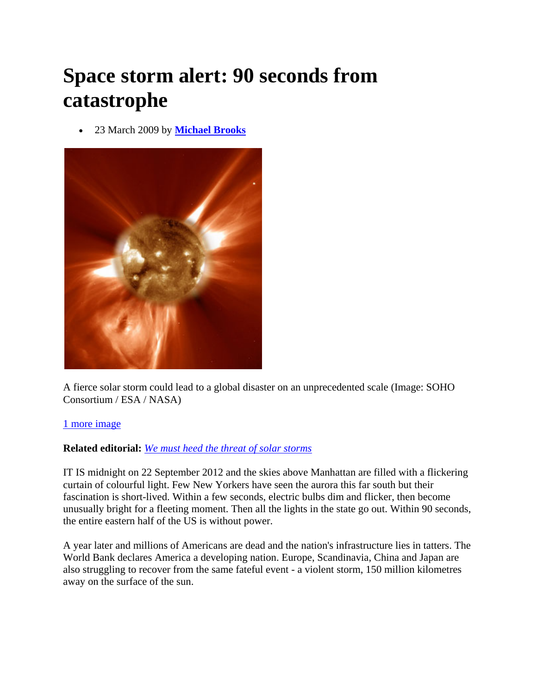# **Space storm alert: 90 seconds from catastrophe**

• 23 March 2009 by **[Michael Brooks](http://www.newscientist.com/search?rbauthors=Michael+Brooks)**



A fierce solar storm could lead to a global disaster on an unprecedented scale (Image: SOHO Consortium / ESA / NASA)

#### [1 more image](http://www.newscientist.com/articleimages/mg20127001.300/1-space-storm-alert-90-seconds-from-catastrophe.html)

## **Related editorial:** *[We must heed the threat of solar storms](http://www.newscientist.com/article/mg20127003.100-space-weather-warning.html)*

IT IS midnight on 22 September 2012 and the skies above Manhattan are filled with a flickering curtain of colourful light. Few New Yorkers have seen the aurora this far south but their fascination is short-lived. Within a few seconds, electric bulbs dim and flicker, then become unusually bright for a fleeting moment. Then all the lights in the state go out. Within 90 seconds, the entire eastern half of the US is without power.

A year later and millions of Americans are dead and the nation's infrastructure lies in tatters. The World Bank declares America a developing nation. Europe, Scandinavia, China and Japan are also struggling to recover from the same fateful event - a violent storm, 150 million kilometres away on the surface of the sun.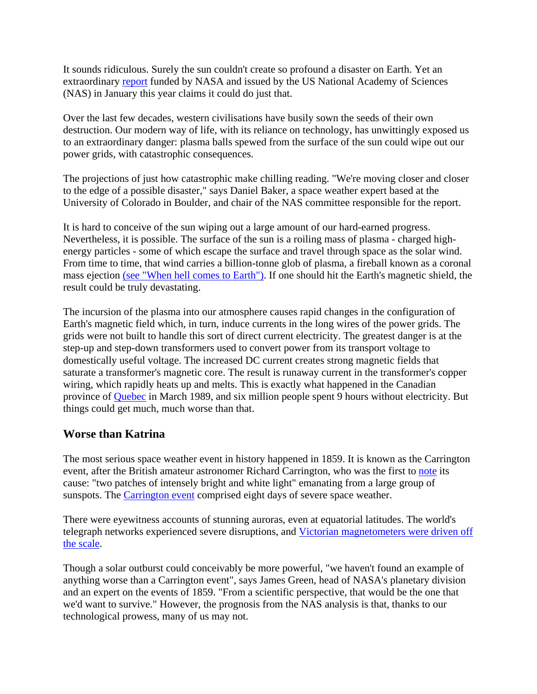It sounds ridiculous. Surely the sun couldn't create so profound a disaster on Earth. Yet an extraordinary [report](http://www.nap.edu/catalog.php?record_id=12507) funded by NASA and issued by the US National Academy of Sciences (NAS) in January this year claims it could do just that.

Over the last few decades, western civilisations have busily sown the seeds of their own destruction. Our modern way of life, with its reliance on technology, has unwittingly exposed us to an extraordinary danger: plasma balls spewed from the surface of the sun could wipe out our power grids, with catastrophic consequences.

The projections of just how catastrophic make chilling reading. "We're moving closer and closer to the edge of a possible disaster," says Daniel Baker, a space weather expert based at the University of Colorado in Boulder, and chair of the NAS committee responsible for the report.

It is hard to conceive of the sun wiping out a large amount of our hard-earned progress. Nevertheless, it is possible. The surface of the sun is a roiling mass of plasma - charged highenergy particles - some of which escape the surface and travel through space as the solar wind. From time to time, that wind carries a billion-tonne glob of plasma, a fireball known as a coronal mass ejection [\(see "When hell comes to Earth"\).](http://www.newscientist.com/article/mg20127001.300-space-storm-alert-90-seconds-from-catastrophe.html?full=true#bx270013B1) If one should hit the Earth's magnetic shield, the result could be truly devastating.

The incursion of the plasma into our atmosphere causes rapid changes in the configuration of Earth's magnetic field which, in turn, induce currents in the long wires of the power grids. The grids were not built to handle this sort of direct current electricity. The greatest danger is at the step-up and step-down transformers used to convert power from its transport voltage to domestically useful voltage. The increased DC current creates strong magnetic fields that saturate a transformer's magnetic core. The result is runaway current in the transformer's copper wiring, which rapidly heats up and melts. This is exactly what happened in the Canadian province of [Quebec](http://www.solarstorms.org/SS1989.html) in March 1989, and six million people spent 9 hours without electricity. But things could get much, much worse than that.

# **Worse than Katrina**

The most serious space weather event in history happened in 1859. It is known as the Carrington event, after the British amateur astronomer Richard Carrington, who was the first to [note](http://articles.adsabs.harvard.edu/full/seri/MNRAS/0020/0000013.000.html) its cause: "two patches of intensely bright and white light" emanating from a large group of sunspots. The [Carrington event](http://www.stuartclark.com/sunkings.html) comprised eight days of severe space weather.

There were eyewitness accounts of stunning auroras, even at equatorial latitudes. The world's telegraph networks experienced severe disruptions, and Victorian magnetometers were driven off [the scale.](http://www.geomag.bgs.ac.uk/carrington.html)

Though a solar outburst could conceivably be more powerful, "we haven't found an example of anything worse than a Carrington event", says James Green, head of NASA's planetary division and an expert on the events of 1859. "From a scientific perspective, that would be the one that we'd want to survive." However, the prognosis from the NAS analysis is that, thanks to our technological prowess, many of us may not.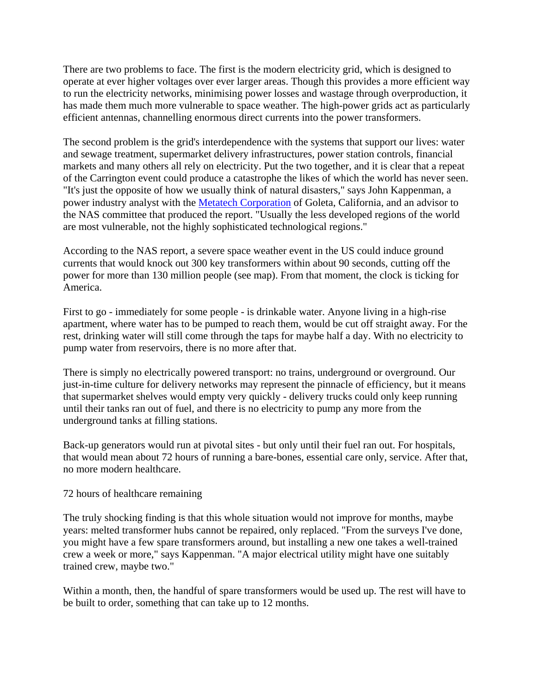There are two problems to face. The first is the modern electricity grid, which is designed to operate at ever higher voltages over ever larger areas. Though this provides a more efficient way to run the electricity networks, minimising power losses and wastage through overproduction, it has made them much more vulnerable to space weather. The high-power grids act as particularly efficient antennas, channelling enormous direct currents into the power transformers.

The second problem is the grid's interdependence with the systems that support our lives: water and sewage treatment, supermarket delivery infrastructures, power station controls, financial markets and many others all rely on electricity. Put the two together, and it is clear that a repeat of the Carrington event could produce a catastrophe the likes of which the world has never seen. "It's just the opposite of how we usually think of natural disasters," says John Kappenman, a power industry analyst with the [Metatech Corporation](http://www.metatechcorp.com/) of Goleta, California, and an advisor to the NAS committee that produced the report. "Usually the less developed regions of the world are most vulnerable, not the highly sophisticated technological regions."

According to the NAS report, a severe space weather event in the US could induce ground currents that would knock out 300 key transformers within about 90 seconds, cutting off the power for more than 130 million people (see map). From that moment, the clock is ticking for America.

First to go - immediately for some people - is drinkable water. Anyone living in a high-rise apartment, where water has to be pumped to reach them, would be cut off straight away. For the rest, drinking water will still come through the taps for maybe half a day. With no electricity to pump water from reservoirs, there is no more after that.

There is simply no electrically powered transport: no trains, underground or overground. Our just-in-time culture for delivery networks may represent the pinnacle of efficiency, but it means that supermarket shelves would empty very quickly - delivery trucks could only keep running until their tanks ran out of fuel, and there is no electricity to pump any more from the underground tanks at filling stations.

Back-up generators would run at pivotal sites - but only until their fuel ran out. For hospitals, that would mean about 72 hours of running a bare-bones, essential care only, service. After that, no more modern healthcare.

#### 72 hours of healthcare remaining

The truly shocking finding is that this whole situation would not improve for months, maybe years: melted transformer hubs cannot be repaired, only replaced. "From the surveys I've done, you might have a few spare transformers around, but installing a new one takes a well-trained crew a week or more," says Kappenman. "A major electrical utility might have one suitably trained crew, maybe two."

Within a month, then, the handful of spare transformers would be used up. The rest will have to be built to order, something that can take up to 12 months.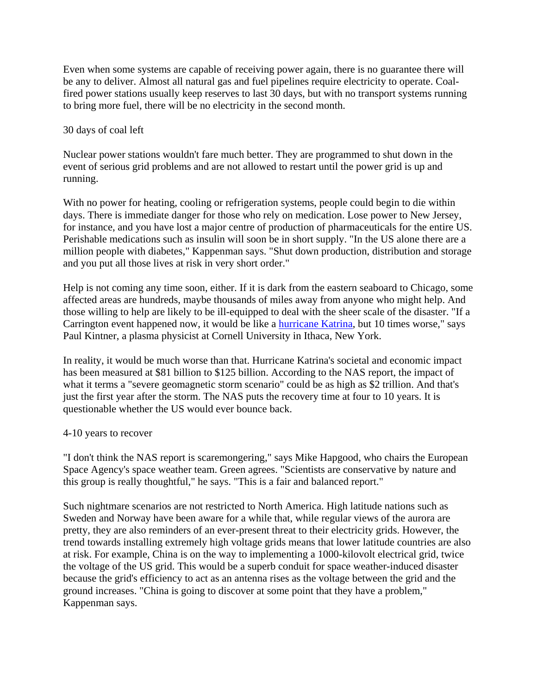Even when some systems are capable of receiving power again, there is no guarantee there will be any to deliver. Almost all natural gas and fuel pipelines require electricity to operate. Coalfired power stations usually keep reserves to last 30 days, but with no transport systems running to bring more fuel, there will be no electricity in the second month.

#### 30 days of coal left

Nuclear power stations wouldn't fare much better. They are programmed to shut down in the event of serious grid problems and are not allowed to restart until the power grid is up and running.

With no power for heating, cooling or refrigeration systems, people could begin to die within days. There is immediate danger for those who rely on medication. Lose power to New Jersey, for instance, and you have lost a major centre of production of pharmaceuticals for the entire US. Perishable medications such as insulin will soon be in short supply. "In the US alone there are a million people with diabetes," Kappenman says. "Shut down production, distribution and storage and you put all those lives at risk in very short order."

Help is not coming any time soon, either. If it is dark from the eastern seaboard to Chicago, some affected areas are hundreds, maybe thousands of miles away from anyone who might help. And those willing to help are likely to be ill-equipped to deal with the sheer scale of the disaster. "If a Carrington event happened now, it would be like a [hurricane Katrina](http://www.newscientist.com/article/dn7919-hurricane-katrina-roars-into-louisiana.html), but 10 times worse," says Paul Kintner, a plasma physicist at Cornell University in Ithaca, New York.

In reality, it would be much worse than that. Hurricane Katrina's societal and economic impact has been measured at \$81 billion to \$125 billion. According to the NAS report, the impact of what it terms a "severe geomagnetic storm scenario" could be as high as \$2 trillion. And that's just the first year after the storm. The NAS puts the recovery time at four to 10 years. It is questionable whether the US would ever bounce back.

#### 4-10 years to recover

"I don't think the NAS report is scaremongering," says Mike Hapgood, who chairs the European Space Agency's space weather team. Green agrees. "Scientists are conservative by nature and this group is really thoughtful," he says. "This is a fair and balanced report."

Such nightmare scenarios are not restricted to North America. High latitude nations such as Sweden and Norway have been aware for a while that, while regular views of the aurora are pretty, they are also reminders of an ever-present threat to their electricity grids. However, the trend towards installing extremely high voltage grids means that lower latitude countries are also at risk. For example, China is on the way to implementing a 1000-kilovolt electrical grid, twice the voltage of the US grid. This would be a superb conduit for space weather-induced disaster because the grid's efficiency to act as an antenna rises as the voltage between the grid and the ground increases. "China is going to discover at some point that they have a problem," Kappenman says.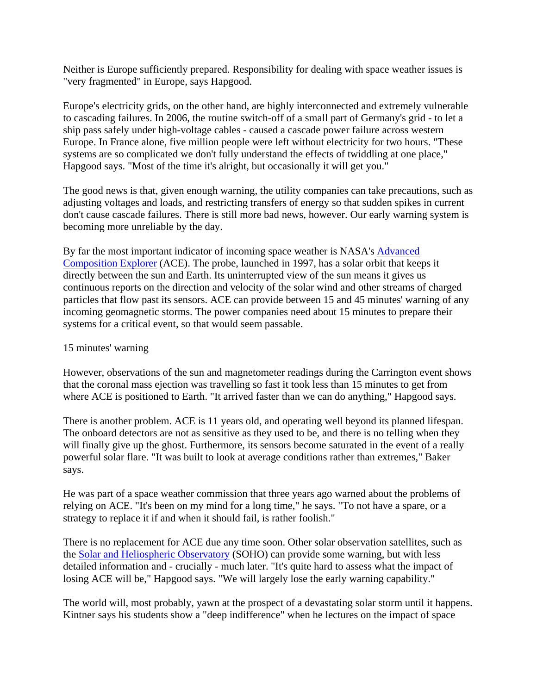Neither is Europe sufficiently prepared. Responsibility for dealing with space weather issues is "very fragmented" in Europe, says Hapgood.

Europe's electricity grids, on the other hand, are highly interconnected and extremely vulnerable to cascading failures. In 2006, the routine switch-off of a small part of Germany's grid - to let a ship pass safely under high-voltage cables - caused a cascade power failure across western Europe. In France alone, five million people were left without electricity for two hours. "These systems are so complicated we don't fully understand the effects of twiddling at one place," Hapgood says. "Most of the time it's alright, but occasionally it will get you."

The good news is that, given enough warning, the utility companies can take precautions, such as adjusting voltages and loads, and restricting transfers of energy so that sudden spikes in current don't cause cascade failures. There is still more bad news, however. Our early warning system is becoming more unreliable by the day.

By far the most important indicator of incoming space weather is NASA's [Advanced](http://www.srl.caltech.edu/ACE/)  [Composition Explorer](http://www.srl.caltech.edu/ACE/) (ACE). The probe, launched in 1997, has a solar orbit that keeps it directly between the sun and Earth. Its uninterrupted view of the sun means it gives us continuous reports on the direction and velocity of the solar wind and other streams of charged particles that flow past its sensors. ACE can provide between 15 and 45 minutes' warning of any incoming geomagnetic storms. The power companies need about 15 minutes to prepare their systems for a critical event, so that would seem passable.

#### 15 minutes' warning

However, observations of the sun and magnetometer readings during the Carrington event shows that the coronal mass ejection was travelling so fast it took less than 15 minutes to get from where ACE is positioned to Earth. "It arrived faster than we can do anything," Hapgood says.

There is another problem. ACE is 11 years old, and operating well beyond its planned lifespan. The onboard detectors are not as sensitive as they used to be, and there is no telling when they will finally give up the ghost. Furthermore, its sensors become saturated in the event of a really powerful solar flare. "It was built to look at average conditions rather than extremes," Baker says.

He was part of a space weather commission that three years ago warned about the problems of relying on ACE. "It's been on my mind for a long time," he says. "To not have a spare, or a strategy to replace it if and when it should fail, is rather foolish."

There is no replacement for ACE due any time soon. Other solar observation satellites, such as the [Solar and Heliospheric Observatory](http://sohowww.nascom.nasa.gov/) (SOHO) can provide some warning, but with less detailed information and - crucially - much later. "It's quite hard to assess what the impact of losing ACE will be," Hapgood says. "We will largely lose the early warning capability."

The world will, most probably, yawn at the prospect of a devastating solar storm until it happens. Kintner says his students show a "deep indifference" when he lectures on the impact of space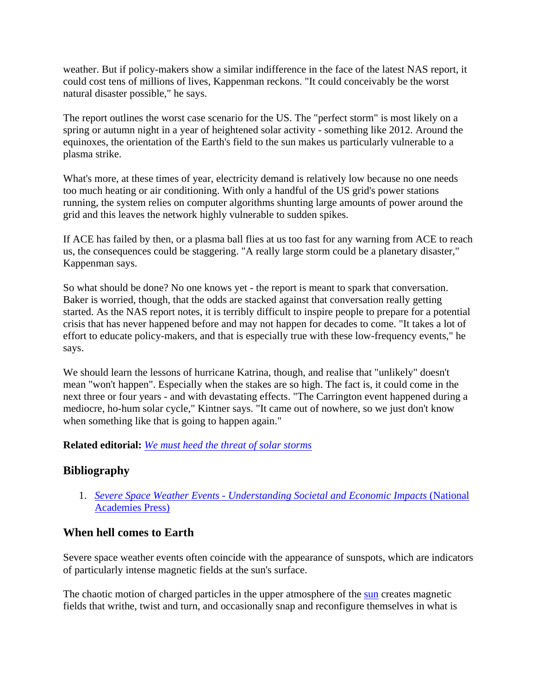weather. But if policy-makers show a similar indifference in the face of the latest NAS report, it could cost tens of millions of lives, Kappenman reckons. "It could conceivably be the worst natural disaster possible," he says.

The report outlines the worst case scenario for the US. The "perfect storm" is most likely on a spring or autumn night in a year of heightened solar activity - something like 2012. Around the equinoxes, the orientation of the Earth's field to the sun makes us particularly vulnerable to a plasma strike.

What's more, at these times of year, electricity demand is relatively low because no one needs too much heating or air conditioning. With only a handful of the US grid's power stations running, the system relies on computer algorithms shunting large amounts of power around the grid and this leaves the network highly vulnerable to sudden spikes.

If ACE has failed by then, or a plasma ball flies at us too fast for any warning from ACE to reach us, the consequences could be staggering. "A really large storm could be a planetary disaster," Kappenman says.

So what should be done? No one knows yet - the report is meant to spark that conversation. Baker is worried, though, that the odds are stacked against that conversation really getting started. As the NAS report notes, it is terribly difficult to inspire people to prepare for a potential crisis that has never happened before and may not happen for decades to come. "It takes a lot of effort to educate policy-makers, and that is especially true with these low-frequency events," he says.

We should learn the lessons of hurricane Katrina, though, and realise that "unlikely" doesn't mean "won't happen". Especially when the stakes are so high. The fact is, it could come in the next three or four years - and with devastating effects. "The Carrington event happened during a mediocre, ho-hum solar cycle," Kintner says. "It came out of nowhere, so we just don't know when something like that is going to happen again."

## **Related editorial:** *[We must heed the threat of solar storms](http://www.newscientist.com/article/mg20127003.100-space-weather-warning.html)*

# **Bibliography**

1. *[Severe Space Weather Events - Understanding Societal and Economic Impacts](http://www.nap.edu/catalog.php?record_id=12507)* (National [Academies Press\)](http://www.nap.edu/catalog.php?record_id=12507) 

## **When hell comes to Earth**

Severe space weather events often coincide with the appearance of sunspots, which are indicators of particularly intense magnetic fields at the sun's surface.

The chaotic motion of charged particles in the upper atmosphere of the [sun](http://www.newscientist.com/article/mg17824006.800-the-sun.html) creates magnetic fields that writhe, twist and turn, and occasionally snap and reconfigure themselves in what is